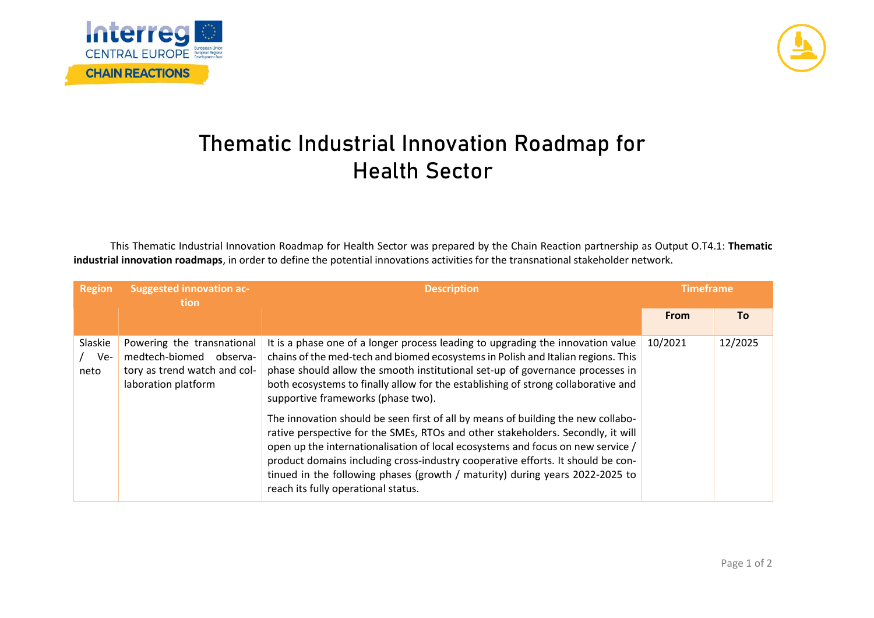



## **Thematic Industrial Innovation Roadmap for Health Sector**

This Thematic Industrial Innovation Roadmap for Health Sector was prepared by the Chain Reaction partnership as Output O.T4.1: **Thematic industrial innovation roadmaps**, in order to define the potential innovations activities for the transnational stakeholder network.

| <b>Region</b>          | <b>Suggested innovation ac-</b><br>tion                                                                      | <b>Description</b>                                                                                                                                                                                                                                                                                                                                                                                                                                               | <b>Timeframe</b> |           |
|------------------------|--------------------------------------------------------------------------------------------------------------|------------------------------------------------------------------------------------------------------------------------------------------------------------------------------------------------------------------------------------------------------------------------------------------------------------------------------------------------------------------------------------------------------------------------------------------------------------------|------------------|-----------|
|                        |                                                                                                              |                                                                                                                                                                                                                                                                                                                                                                                                                                                                  | <b>From</b>      | <b>To</b> |
| Slaskie<br>Ve-<br>neto | Powering the transnational<br>medtech-biomed observa-<br>tory as trend watch and col-<br>laboration platform | It is a phase one of a longer process leading to upgrading the innovation value<br>chains of the med-tech and biomed ecosystems in Polish and Italian regions. This<br>phase should allow the smooth institutional set-up of governance processes in<br>both ecosystems to finally allow for the establishing of strong collaborative and<br>supportive frameworks (phase two).                                                                                  | 10/2021          | 12/2025   |
|                        |                                                                                                              | The innovation should be seen first of all by means of building the new collabo-<br>rative perspective for the SMEs, RTOs and other stakeholders. Secondly, it will<br>open up the internationalisation of local ecosystems and focus on new service /<br>product domains including cross-industry cooperative efforts. It should be con-<br>tinued in the following phases (growth / maturity) during years 2022-2025 to<br>reach its fully operational status. |                  |           |